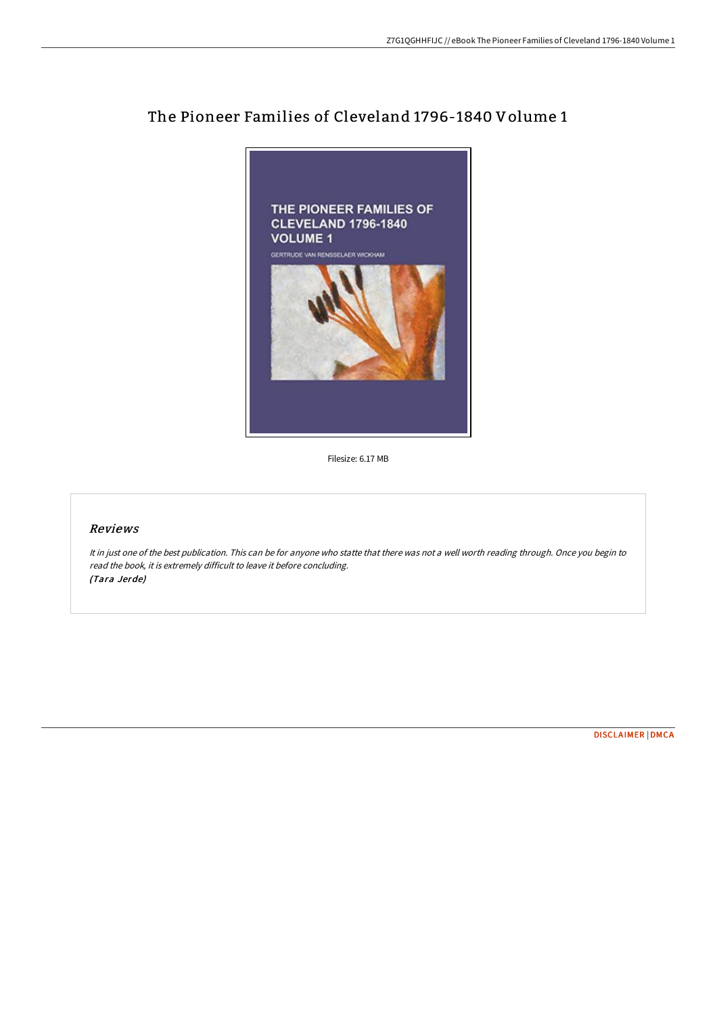

## The Pioneer Families of Cleveland 1796-1840 Volume 1

Filesize: 6.17 MB

## Reviews

It in just one of the best publication. This can be for anyone who statte that there was not <sup>a</sup> well worth reading through. Once you begin to read the book, it is extremely difficult to leave it before concluding. (Tara Jerde)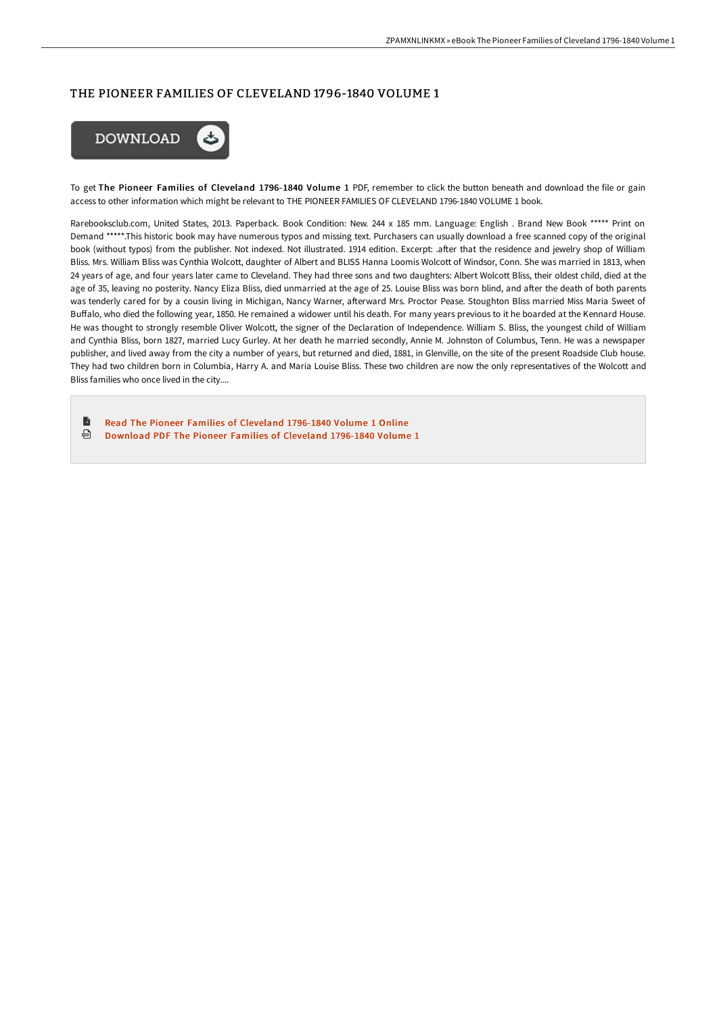## THE PIONEER FAMILIES OF CLEVELAND 1796-1840 VOLUME 1



To get The Pioneer Families of Cleveland 1796-1840 Volume 1 PDF, remember to click the button beneath and download the file or gain access to other information which might be relevant to THE PIONEER FAMILIES OF CLEVELAND 1796-1840 VOLUME 1 book.

Rarebooksclub.com, United States, 2013. Paperback. Book Condition: New. 244 x 185 mm. Language: English . Brand New Book \*\*\*\*\* Print on Demand \*\*\*\*\*.This historic book may have numerous typos and missing text. Purchasers can usually download a free scanned copy of the original book (without typos) from the publisher. Not indexed. Not illustrated. 1914 edition. Excerpt: .after that the residence and jewelry shop of William Bliss. Mrs. William Bliss was Cynthia Wolcott, daughter of Albert and BLISS Hanna Loomis Wolcott of Windsor, Conn. She was married in 1813, when 24 years of age, and four years later came to Cleveland. They had three sons and two daughters: Albert Wolcott Bliss, their oldest child, died at the age of 35, leaving no posterity. Nancy Eliza Bliss, died unmarried at the age of 25. Louise Bliss was born blind, and after the death of both parents was tenderly cared for by a cousin living in Michigan, Nancy Warner, afterward Mrs. Proctor Pease. Stoughton Bliss married Miss Maria Sweet of Buffalo, who died the following year, 1850. He remained a widower until his death. For many years previous to it he boarded at the Kennard House. He was thought to strongly resemble Oliver Wolcott, the signer of the Declaration of Independence. William S. Bliss, the youngest child of William and Cynthia Bliss, born 1827, married Lucy Gurley. At her death he married secondly, Annie M. Johnston of Columbus, Tenn. He was a newspaper publisher, and lived away from the city a number of years, but returned and died, 1881, in Glenville, on the site of the present Roadside Club house. They had two children born in Columbia, Harry A. and Maria Louise Bliss. These two children are now the only representatives of the Wolcott and Bliss families who once lived in the city....

Б Read The Pioneer Families of Cleveland [1796-1840](http://techno-pub.tech/the-pioneer-families-of-cleveland-1796-1840-volu.html) Volume 1 Online

⊕ [Download](http://techno-pub.tech/the-pioneer-families-of-cleveland-1796-1840-volu.html) PDF The Pioneer Families of Cleveland 1796-1840 Volume 1